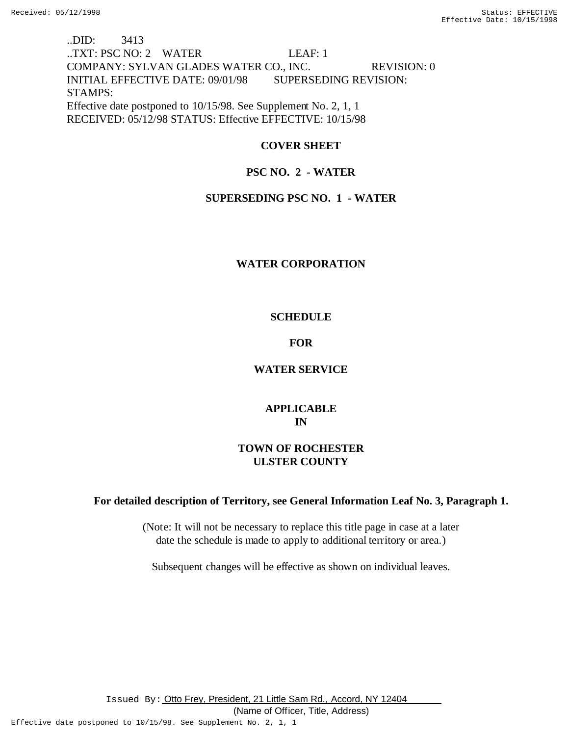# ..DID: 3413 ..TXT: PSC NO: 2 WATER LEAF: 1 COMPANY: SYLVAN GLADES WATER CO., INC. REVISION: 0 INITIAL EFFECTIVE DATE: 09/01/98 SUPERSEDING REVISION: STAMPS: Effective date postponed to 10/15/98. See Supplement No. 2, 1, 1 RECEIVED: 05/12/98 STATUS: Effective EFFECTIVE: 10/15/98

## **COVER SHEET**

## **PSC NO. 2 - WATER**

## **SUPERSEDING PSC NO. 1 - WATER**

## **WATER CORPORATION**

# **SCHEDULE**

## **FOR**

## **WATER SERVICE**

# **APPLICABLE IN**

# **TOWN OF ROCHESTER ULSTER COUNTY**

## **For detailed description of Territory, see General Information Leaf No. 3, Paragraph 1.**

(Note: It will not be necessary to replace this title page in case at a later date the schedule is made to apply to additional territory or area.)

Subsequent changes will be effective as shown on individual leaves.

Issued By: Otto Frey, President, 21 Little Sam Rd., Accord, NY 12404

(Name of Officer, Title, Address)

Effective date postponed to 10/15/98. See Supplement No. 2, 1, 1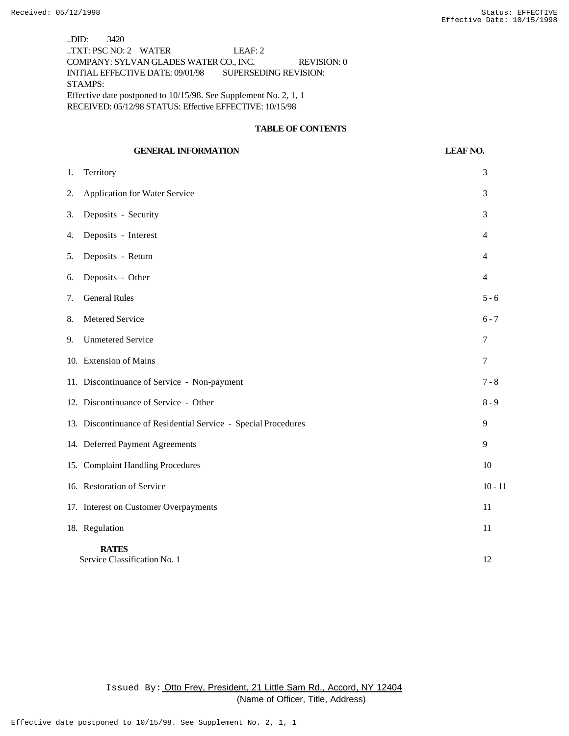..DID: 3420 ..TXT: PSC NO: 2 WATER LEAF: 2 COMPANY: SYLVAN GLADES WATER CO., INC. REVISION: 0 INITIAL EFFECTIVE DATE: 09/01/98 SUPERSEDING REVISION: STAMPS: Effective date postponed to 10/15/98. See Supplement No. 2, 1, 1 RECEIVED: 05/12/98 STATUS: Effective EFFECTIVE: 10/15/98

## **TABLE OF CONTENTS**

## **GENERAL INFORMATION LEAF NO.**

| 1. | Territory                                                      | 3              |
|----|----------------------------------------------------------------|----------------|
| 2. | Application for Water Service                                  | 3              |
| 3. | Deposits - Security                                            | 3              |
| 4. | Deposits - Interest                                            | $\overline{4}$ |
| 5. | Deposits - Return                                              | $\overline{4}$ |
| 6. | Deposits - Other                                               | $\overline{4}$ |
| 7. | <b>General Rules</b>                                           | $5 - 6$        |
| 8. | Metered Service                                                | $6 - 7$        |
| 9. | <b>Unmetered Service</b>                                       | 7              |
|    | 10. Extension of Mains                                         | 7              |
|    | 11. Discontinuance of Service - Non-payment                    | $7 - 8$        |
|    | 12. Discontinuance of Service - Other                          | $8 - 9$        |
|    | 13. Discontinuance of Residential Service - Special Procedures | 9              |
|    | 14. Deferred Payment Agreements                                | 9              |
|    | 15. Complaint Handling Procedures                              | 10             |
|    | 16. Restoration of Service                                     | $10 - 11$      |
|    | 17. Interest on Customer Overpayments                          | 11             |
|    | 18. Regulation                                                 | 11             |
|    | <b>RATES</b><br>Service Classification No. 1                   | 12             |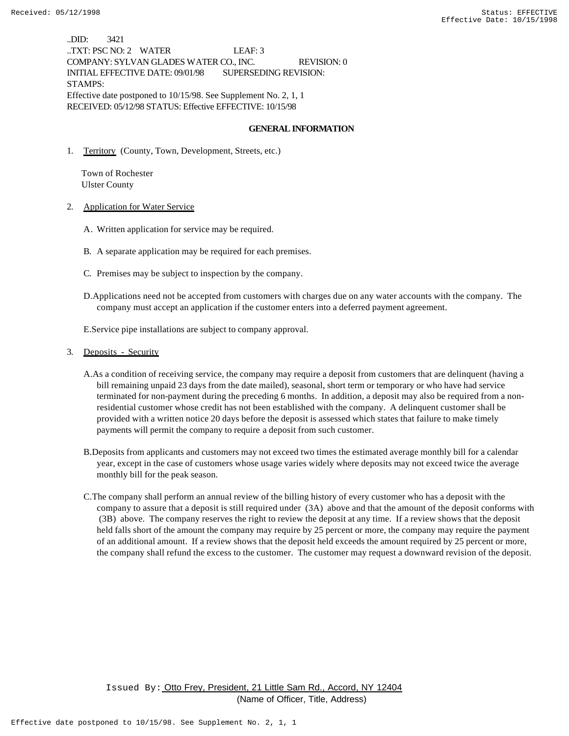..DID: 3421 ..TXT: PSC NO: 2 WATER LEAF: 3 COMPANY: SYLVAN GLADES WATER CO., INC. REVISION: 0 INITIAL EFFECTIVE DATE: 09/01/98 SUPERSEDING REVISION: STAMPS: Effective date postponed to 10/15/98. See Supplement No. 2, 1, 1 RECEIVED: 05/12/98 STATUS: Effective EFFECTIVE: 10/15/98

### **GENERAL INFORMATION**

1. Territory (County, Town, Development, Streets, etc.)

 Town of Rochester Ulster County

- 2. Application for Water Service
	- A. Written application for service may be required.
	- B. A separate application may be required for each premises.
	- C. Premises may be subject to inspection by the company.
	- D.Applications need not be accepted from customers with charges due on any water accounts with the company. The company must accept an application if the customer enters into a deferred payment agreement.

E.Service pipe installations are subject to company approval.

- 3. Deposits Security
	- A.As a condition of receiving service, the company may require a deposit from customers that are delinquent (having a bill remaining unpaid 23 days from the date mailed), seasonal, short term or temporary or who have had service terminated for non-payment during the preceding 6 months. In addition, a deposit may also be required from a nonresidential customer whose credit has not been established with the company. A delinquent customer shall be provided with a written notice 20 days before the deposit is assessed which states that failure to make timely payments will permit the company to require a deposit from such customer.
	- B.Deposits from applicants and customers may not exceed two times the estimated average monthly bill for a calendar year, except in the case of customers whose usage varies widely where deposits may not exceed twice the average monthly bill for the peak season.
	- C.The company shall perform an annual review of the billing history of every customer who has a deposit with the company to assure that a deposit is still required under (3A) above and that the amount of the deposit conforms with (3B) above. The company reserves the right to review the deposit at any time. If a review shows that the deposit held falls short of the amount the company may require by 25 percent or more, the company may require the payment of an additional amount. If a review shows that the deposit held exceeds the amount required by 25 percent or more, the company shall refund the excess to the customer. The customer may request a downward revision of the deposit.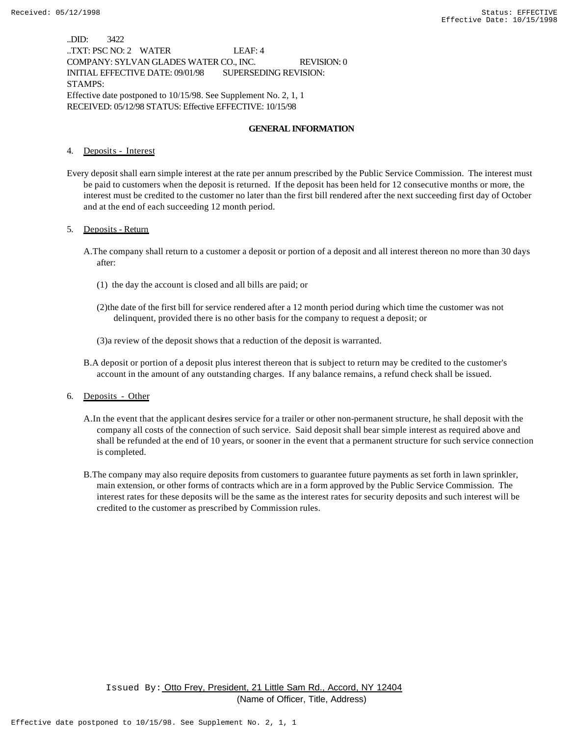..DID: 3422 ..TXT: PSC NO: 2 WATER LEAF: 4 COMPANY: SYLVAN GLADES WATER CO., INC. REVISION: 0 INITIAL EFFECTIVE DATE: 09/01/98 SUPERSEDING REVISION: STAMPS: Effective date postponed to 10/15/98. See Supplement No. 2, 1, 1 RECEIVED: 05/12/98 STATUS: Effective EFFECTIVE: 10/15/98

### **GENERAL INFORMATION**

4. Deposits - Interest

Every deposit shall earn simple interest at the rate per annum prescribed by the Public Service Commission. The interest must be paid to customers when the deposit is returned. If the deposit has been held for 12 consecutive months or more, the interest must be credited to the customer no later than the first bill rendered after the next succeeding first day of October and at the end of each succeeding 12 month period.

### 5. Deposits - Return

- A.The company shall return to a customer a deposit or portion of a deposit and all interest thereon no more than 30 days after:
	- (1) the day the account is closed and all bills are paid; or
	- (2)the date of the first bill for service rendered after a 12 month period during which time the customer was not delinquent, provided there is no other basis for the company to request a deposit; or
	- (3)a review of the deposit shows that a reduction of the deposit is warranted.
- B.A deposit or portion of a deposit plus interest thereon that is subject to return may be credited to the customer's account in the amount of any outstanding charges. If any balance remains, a refund check shall be issued.

6. Deposits - Other

- A.In the event that the applicant desires service for a trailer or other non-permanent structure, he shall deposit with the company all costs of the connection of such service. Said deposit shall bear simple interest as required above and shall be refunded at the end of 10 years, or sooner in the event that a permanent structure for such service connection is completed.
- B.The company may also require deposits from customers to guarantee future payments as set forth in lawn sprinkler, main extension, or other forms of contracts which are in a form approved by the Public Service Commission. The interest rates for these deposits will be the same as the interest rates for security deposits and such interest will be credited to the customer as prescribed by Commission rules.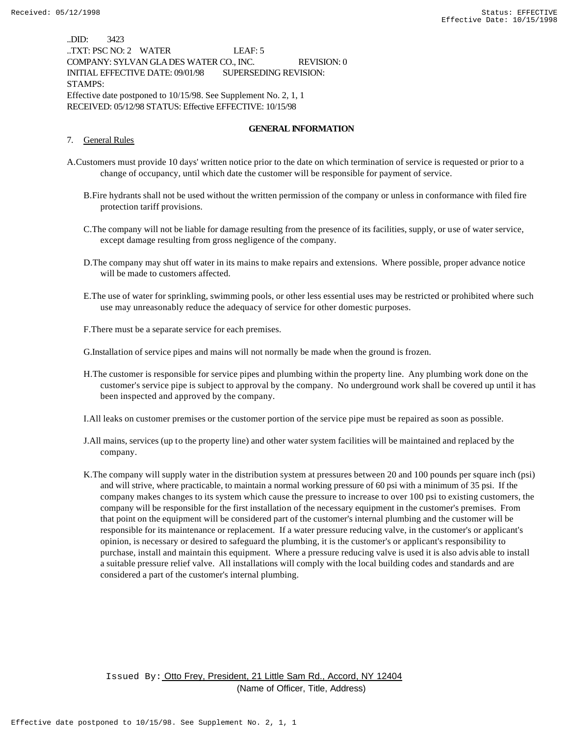..DID: 3423 ..TXT: PSC NO: 2 WATER LEAF: 5 COMPANY: SYLVAN GLADES WATER CO., INC. REVISION: 0 INITIAL EFFECTIVE DATE: 09/01/98 SUPERSEDING REVISION: STAMPS: Effective date postponed to 10/15/98. See Supplement No. 2, 1, 1 RECEIVED: 05/12/98 STATUS: Effective EFFECTIVE: 10/15/98

### **GENERAL INFORMATION**

#### 7. General Rules

- A.Customers must provide 10 days' written notice prior to the date on which termination of service is requested or prior to a change of occupancy, until which date the customer will be responsible for payment of service.
	- B.Fire hydrants shall not be used without the written permission of the company or unless in conformance with filed fire protection tariff provisions.
	- C.The company will not be liable for damage resulting from the presence of its facilities, supply, or use of water service, except damage resulting from gross negligence of the company.
	- D.The company may shut off water in its mains to make repairs and extensions. Where possible, proper advance notice will be made to customers affected.
	- E.The use of water for sprinkling, swimming pools, or other less essential uses may be restricted or prohibited where such use may unreasonably reduce the adequacy of service for other domestic purposes.
	- F.There must be a separate service for each premises.

G.Installation of service pipes and mains will not normally be made when the ground is frozen.

- H.The customer is responsible for service pipes and plumbing within the property line. Any plumbing work done on the customer's service pipe is subject to approval by the company. No underground work shall be covered up until it has been inspected and approved by the company.
- I.All leaks on customer premises or the customer portion of the service pipe must be repaired as soon as possible.
- J.All mains, services (up to the property line) and other water system facilities will be maintained and replaced by the company.
- K.The company will supply water in the distribution system at pressures between 20 and 100 pounds per square inch (psi) and will strive, where practicable, to maintain a normal working pressure of 60 psi with a minimum of 35 psi. If the company makes changes to its system which cause the pressure to increase to over 100 psi to existing customers, the company will be responsible for the first installation of the necessary equipment in the customer's premises. From that point on the equipment will be considered part of the customer's internal plumbing and the customer will be responsible for its maintenance or replacement. If a water pressure reducing valve, in the customer's or applicant's opinion, is necessary or desired to safeguard the plumbing, it is the customer's or applicant's responsibility to purchase, install and maintain this equipment. Where a pressure reducing valve is used it is also advis able to install a suitable pressure relief valve. All installations will comply with the local building codes and standards and are considered a part of the customer's internal plumbing.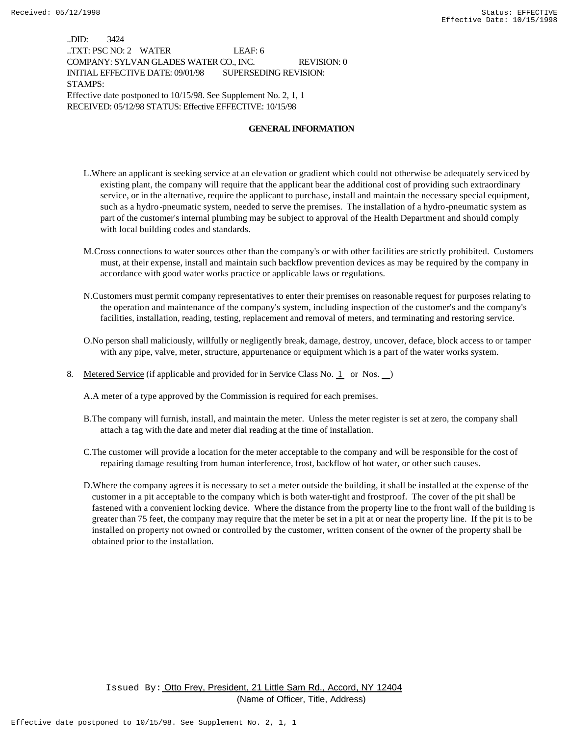..DID: 3424 ..TXT: PSC NO: 2 WATER LEAF: 6 COMPANY: SYLVAN GLADES WATER CO., INC. REVISION: 0 INITIAL EFFECTIVE DATE: 09/01/98 SUPERSEDING REVISION: STAMPS: Effective date postponed to 10/15/98. See Supplement No. 2, 1, 1 RECEIVED: 05/12/98 STATUS: Effective EFFECTIVE: 10/15/98

### **GENERAL INFORMATION**

- L.Where an applicant is seeking service at an elevation or gradient which could not otherwise be adequately serviced by existing plant, the company will require that the applicant bear the additional cost of providing such extraordinary service, or in the alternative, require the applicant to purchase, install and maintain the necessary special equipment, such as a hydro-pneumatic system, needed to serve the premises. The installation of a hydro-pneumatic system as part of the customer's internal plumbing may be subject to approval of the Health Department and should comply with local building codes and standards.
- M.Cross connections to water sources other than the company's or with other facilities are strictly prohibited. Customers must, at their expense, install and maintain such backflow prevention devices as may be required by the company in accordance with good water works practice or applicable laws or regulations.
- N.Customers must permit company representatives to enter their premises on reasonable request for purposes relating to the operation and maintenance of the company's system, including inspection of the customer's and the company's facilities, installation, reading, testing, replacement and removal of meters, and terminating and restoring service.
- O.No person shall maliciously, willfully or negligently break, damage, destroy, uncover, deface, block access to or tamper with any pipe, valve, meter, structure, appurtenance or equipment which is a part of the water works system.
- 8. Metered Service (if applicable and provided for in Service Class No. 1 or Nos. )
	- A.A meter of a type approved by the Commission is required for each premises.
	- B.The company will furnish, install, and maintain the meter. Unless the meter register is set at zero, the company shall attach a tag with the date and meter dial reading at the time of installation.
	- C.The customer will provide a location for the meter acceptable to the company and will be responsible for the cost of repairing damage resulting from human interference, frost, backflow of hot water, or other such causes.
	- D.Where the company agrees it is necessary to set a meter outside the building, it shall be installed at the expense of the customer in a pit acceptable to the company which is both water-tight and frostproof. The cover of the pit shall be fastened with a convenient locking device. Where the distance from the property line to the front wall of the building is greater than 75 feet, the company may require that the meter be set in a pit at or near the property line. If the pit is to be installed on property not owned or controlled by the customer, written consent of the owner of the property shall be obtained prior to the installation.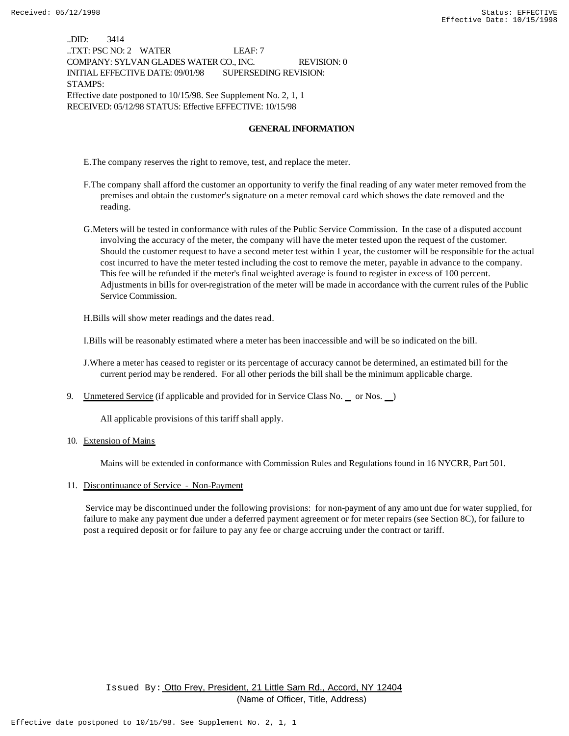..DID: 3414 ..TXT: PSC NO: 2 WATER LEAF: 7 COMPANY: SYLVAN GLADES WATER CO., INC. REVISION: 0 INITIAL EFFECTIVE DATE: 09/01/98 SUPERSEDING REVISION: STAMPS: Effective date postponed to 10/15/98. See Supplement No. 2, 1, 1 RECEIVED: 05/12/98 STATUS: Effective EFFECTIVE: 10/15/98

### **GENERAL INFORMATION**

E.The company reserves the right to remove, test, and replace the meter.

- F.The company shall afford the customer an opportunity to verify the final reading of any water meter removed from the premises and obtain the customer's signature on a meter removal card which shows the date removed and the reading.
- G.Meters will be tested in conformance with rules of the Public Service Commission. In the case of a disputed account involving the accuracy of the meter, the company will have the meter tested upon the request of the customer. Should the customer request to have a second meter test within 1 year, the customer will be responsible for the actual cost incurred to have the meter tested including the cost to remove the meter, payable in advance to the company. This fee will be refunded if the meter's final weighted average is found to register in excess of 100 percent. Adjustments in bills for over-registration of the meter will be made in accordance with the current rules of the Public Service Commission.

H.Bills will show meter readings and the dates read.

I.Bills will be reasonably estimated where a meter has been inaccessible and will be so indicated on the bill.

J.Where a meter has ceased to register or its percentage of accuracy cannot be determined, an estimated bill for the current period may be rendered. For all other periods the bill shall be the minimum applicable charge.

9. Unmetered Service (if applicable and provided for in Service Class No.  $\equiv$  or Nos.  $\equiv$ )

All applicable provisions of this tariff shall apply.

10. Extension of Mains

Mains will be extended in conformance with Commission Rules and Regulations found in 16 NYCRR, Part 501.

11. Discontinuance of Service - Non-Payment

 Service may be discontinued under the following provisions: for non-payment of any amo unt due for water supplied, for failure to make any payment due under a deferred payment agreement or for meter repairs (see Section 8C), for failure to post a required deposit or for failure to pay any fee or charge accruing under the contract or tariff.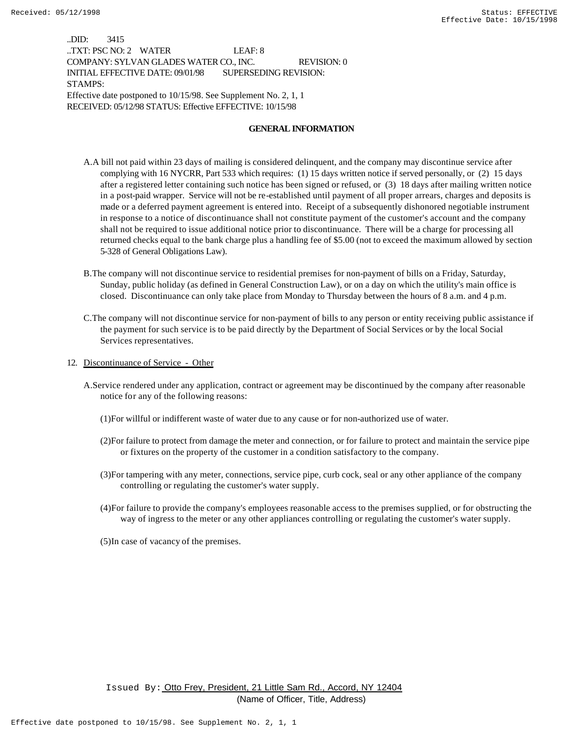..DID: 3415 ..TXT: PSC NO: 2 WATER LEAF: 8 COMPANY: SYLVAN GLADES WATER CO., INC. REVISION: 0 INITIAL EFFECTIVE DATE: 09/01/98 SUPERSEDING REVISION: STAMPS: Effective date postponed to 10/15/98. See Supplement No. 2, 1, 1 RECEIVED: 05/12/98 STATUS: Effective EFFECTIVE: 10/15/98

#### **GENERAL INFORMATION**

- A.A bill not paid within 23 days of mailing is considered delinquent, and the company may discontinue service after complying with 16 NYCRR, Part 533 which requires: (1) 15 days written notice if served personally, or (2) 15 days after a registered letter containing such notice has been signed or refused, or (3) 18 days after mailing written notice in a post-paid wrapper. Service will not be re-established until payment of all proper arrears, charges and deposits is made or a deferred payment agreement is entered into. Receipt of a subsequently dishonored negotiable instrument in response to a notice of discontinuance shall not constitute payment of the customer's account and the company shall not be required to issue additional notice prior to discontinuance. There will be a charge for processing all returned checks equal to the bank charge plus a handling fee of \$5.00 (not to exceed the maximum allowed by section 5-328 of General Obligations Law).
- B.The company will not discontinue service to residential premises for non-payment of bills on a Friday, Saturday, Sunday, public holiday (as defined in General Construction Law), or on a day on which the utility's main office is closed. Discontinuance can only take place from Monday to Thursday between the hours of 8 a.m. and 4 p.m.
- C.The company will not discontinue service for non-payment of bills to any person or entity receiving public assistance if the payment for such service is to be paid directly by the Department of Social Services or by the local Social Services representatives.
- 12. Discontinuance of Service Other
	- A.Service rendered under any application, contract or agreement may be discontinued by the company after reasonable notice for any of the following reasons:
		- (1)For willful or indifferent waste of water due to any cause or for non-authorized use of water.
		- (2)For failure to protect from damage the meter and connection, or for failure to protect and maintain the service pipe or fixtures on the property of the customer in a condition satisfactory to the company.
		- (3)For tampering with any meter, connections, service pipe, curb cock, seal or any other appliance of the company controlling or regulating the customer's water supply.
		- (4)For failure to provide the company's employees reasonable access to the premises supplied, or for obstructing the way of ingress to the meter or any other appliances controlling or regulating the customer's water supply.
		- (5)In case of vacancy of the premises.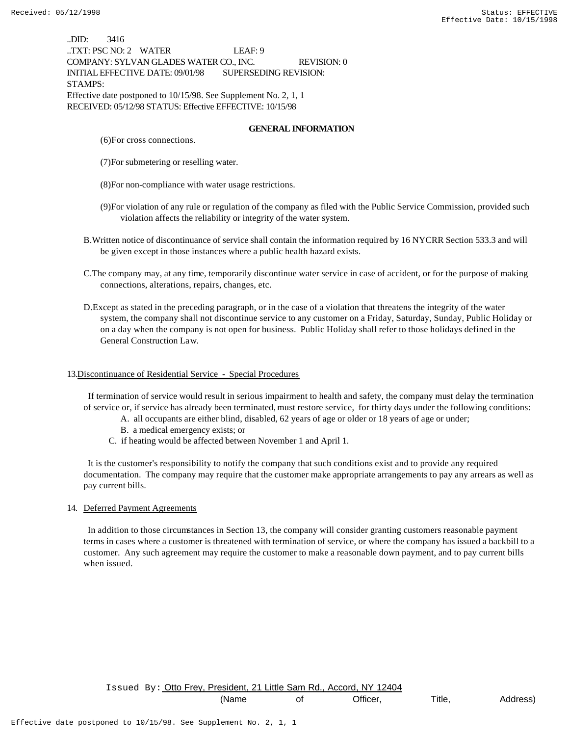..DID: 3416 ..TXT: PSC NO: 2 WATER LEAF: 9 COMPANY: SYLVAN GLADES WATER CO., INC. REVISION: 0 INITIAL EFFECTIVE DATE: 09/01/98 SUPERSEDING REVISION: STAMPS: Effective date postponed to 10/15/98. See Supplement No. 2, 1, 1 RECEIVED: 05/12/98 STATUS: Effective EFFECTIVE: 10/15/98

### **GENERAL INFORMATION**

- (6)For cross connections.
- (7)For submetering or reselling water.
- (8)For non-compliance with water usage restrictions.
- (9)For violation of any rule or regulation of the company as filed with the Public Service Commission, provided such violation affects the reliability or integrity of the water system.
- B.Written notice of discontinuance of service shall contain the information required by 16 NYCRR Section 533.3 and will be given except in those instances where a public health hazard exists.
- C.The company may, at any time, temporarily discontinue water service in case of accident, or for the purpose of making connections, alterations, repairs, changes, etc.
- D.Except as stated in the preceding paragraph, or in the case of a violation that threatens the integrity of the water system, the company shall not discontinue service to any customer on a Friday, Saturday, Sunday, Public Holiday or on a day when the company is not open for business. Public Holiday shall refer to those holidays defined in the General Construction Law.

#### 13.Discontinuance of Residential Service - Special Procedures

 If termination of service would result in serious impairment to health and safety, the company must delay the termination of service or, if service has already been terminated, must restore service, for thirty days under the following conditions:

- A. all occupants are either blind, disabled, 62 years of age or older or 18 years of age or under;
- B. a medical emergency exists; or
- C. if heating would be affected between November 1 and April 1.

 It is the customer's responsibility to notify the company that such conditions exist and to provide any required documentation. The company may require that the customer make appropriate arrangements to pay any arrears as well as pay current bills.

#### 14. Deferred Payment Agreements

 In addition to those circumstances in Section 13, the company will consider granting customers reasonable payment terms in cases where a customer is threatened with termination of service, or where the company has issued a backbill to a customer. Any such agreement may require the customer to make a reasonable down payment, and to pay current bills when issued.

Issued By: Otto Frey, President, 21 Little Sam Rd., Accord, NY 12404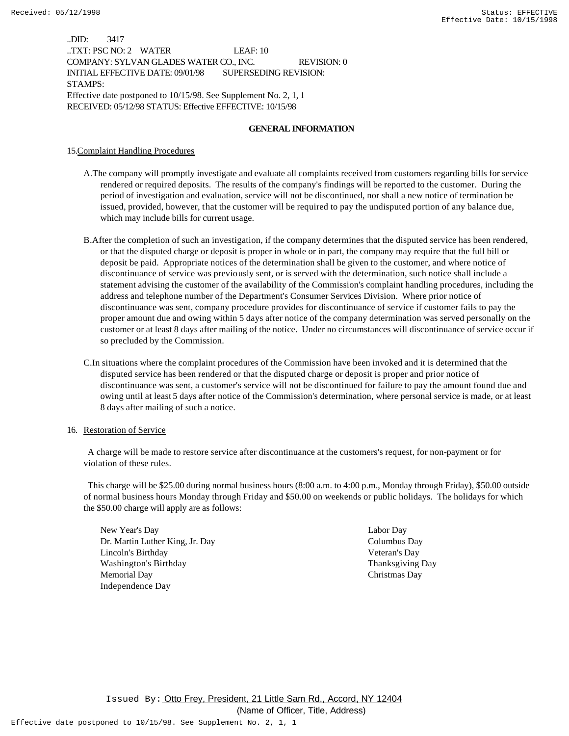..DID: 3417 ..TXT: PSC NO: 2 WATER LEAF: 10 COMPANY: SYLVAN GLADES WATER CO., INC. REVISION: 0 INITIAL EFFECTIVE DATE: 09/01/98 SUPERSEDING REVISION: STAMPS: Effective date postponed to 10/15/98. See Supplement No. 2, 1, 1 RECEIVED: 05/12/98 STATUS: Effective EFFECTIVE: 10/15/98

### **GENERAL INFORMATION**

15.Complaint Handling Procedures

- A.The company will promptly investigate and evaluate all complaints received from customers regarding bills for service rendered or required deposits. The results of the company's findings will be reported to the customer. During the period of investigation and evaluation, service will not be discontinued, nor shall a new notice of termination be issued, provided, however, that the customer will be required to pay the undisputed portion of any balance due, which may include bills for current usage.
- B.After the completion of such an investigation, if the company determines that the disputed service has been rendered, or that the disputed charge or deposit is proper in whole or in part, the company may require that the full bill or deposit be paid. Appropriate notices of the determination shall be given to the customer, and where notice of discontinuance of service was previously sent, or is served with the determination, such notice shall include a statement advising the customer of the availability of the Commission's complaint handling procedures, including the address and telephone number of the Department's Consumer Services Division. Where prior notice of discontinuance was sent, company procedure provides for discontinuance of service if customer fails to pay the proper amount due and owing within 5 days after notice of the company determination was served personally on the customer or at least 8 days after mailing of the notice. Under no circumstances will discontinuance of service occur if so precluded by the Commission.
- C.In situations where the complaint procedures of the Commission have been invoked and it is determined that the disputed service has been rendered or that the disputed charge or deposit is proper and prior notice of discontinuance was sent, a customer's service will not be discontinued for failure to pay the amount found due and owing until at least 5 days after notice of the Commission's determination, where personal service is made, or at least 8 days after mailing of such a notice.
- 16. Restoration of Service

 A charge will be made to restore service after discontinuance at the customers's request, for non-payment or for violation of these rules.

 This charge will be \$25.00 during normal business hours (8:00 a.m. to 4:00 p.m., Monday through Friday), \$50.00 outside of normal business hours Monday through Friday and \$50.00 on weekends or public holidays. The holidays for which the \$50.00 charge will apply are as follows:

New Year's Day Labor Day Dr. Martin Luther King, Jr. Day Columbus Day Lincoln's Birthday Veteran's Day Washington's Birthday Thanksgiving Day Memorial Day Christmas Day Independence Day

Issued By: Otto Frey, President, 21 Little Sam Rd., Accord, NY 12404

(Name of Officer, Title, Address)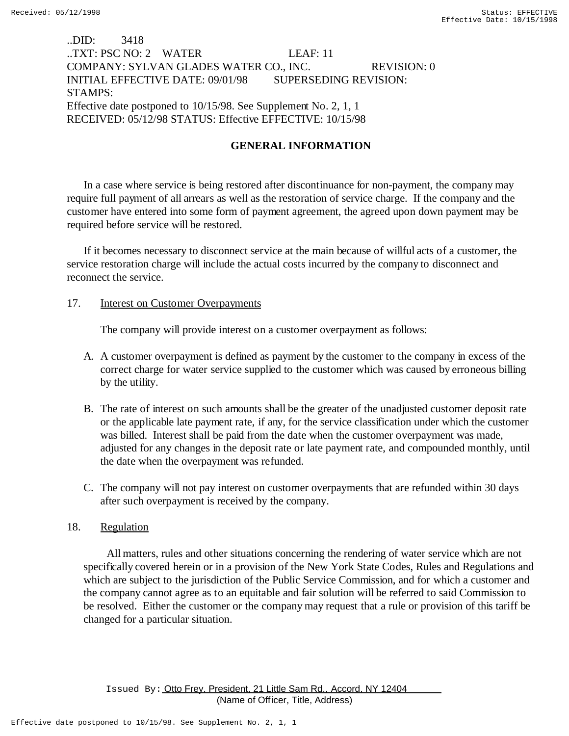# ..DID: 3418 ..TXT: PSC NO: 2 WATER LEAF: 11 COMPANY: SYLVAN GLADES WATER CO., INC. REVISION: 0 INITIAL EFFECTIVE DATE: 09/01/98 SUPERSEDING REVISION: STAMPS: Effective date postponed to 10/15/98. See Supplement No. 2, 1, 1 RECEIVED: 05/12/98 STATUS: Effective EFFECTIVE: 10/15/98

## **GENERAL INFORMATION**

In a case where service is being restored after discontinuance for non-payment, the company may require full payment of all arrears as well as the restoration of service charge. If the company and the customer have entered into some form of payment agreement, the agreed upon down payment may be required before service will be restored.

If it becomes necessary to disconnect service at the main because of willful acts of a customer, the service restoration charge will include the actual costs incurred by the company to disconnect and reconnect the service.

## 17. **Interest on Customer Overpayments**

The company will provide interest on a customer overpayment as follows:

- A. A customer overpayment is defined as payment by the customer to the company in excess of the correct charge for water service supplied to the customer which was caused by erroneous billing by the utility.
- B. The rate of interest on such amounts shall be the greater of the unadjusted customer deposit rate or the applicable late payment rate, if any, for the service classification under which the customer was billed. Interest shall be paid from the date when the customer overpayment was made, adjusted for any changes in the deposit rate or late payment rate, and compounded monthly, until the date when the overpayment was refunded.
- C. The company will not pay interest on customer overpayments that are refunded within 30 days after such overpayment is received by the company.

## 18. Regulation

 All matters, rules and other situations concerning the rendering of water service which are not specifically covered herein or in a provision of the New York State Codes, Rules and Regulations and which are subject to the jurisdiction of the Public Service Commission, and for which a customer and the company cannot agree as to an equitable and fair solution will be referred to said Commission to be resolved. Either the customer or the company may request that a rule or provision of this tariff be changed for a particular situation.